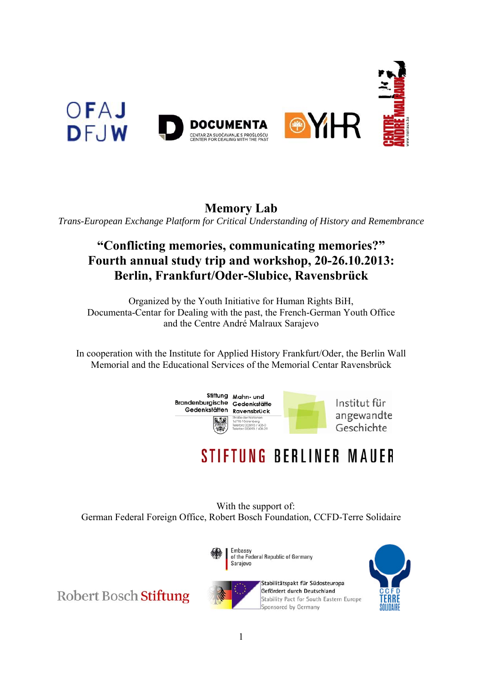

## **Memory Lab**

*Trans-European Exchange Platform for Critical Understanding of History and Remembrance* 

## **"Conflicting memories, communicating memories?" Fourth annual study trip and workshop, 20-26.10.2013: Berlin, Frankfurt/Oder-Slubice, Ravensbrück**

Organized by the Youth Initiative for Human Rights BiH, Documenta-Centar for Dealing with the past, the French-German Youth Office and the Centre André Malraux Sarajevo

In cooperation with the Institute for Applied History Frankfurt/Oder, the Berlin Wall Memorial and the Educational Services of the Memorial Centar Ravensbrück



# **STIFTUNG BERLINER MAUER**

With the support of: German Federal Foreign Office, Robert Bosch Foundation, CCFD-Terre Solidaire





Stabilitätspakt für Südosteuropa Gefördert durch Deutschland Stability Pact for South Eastern Europe Sponsored by Germany



Robert Bosch Stiftung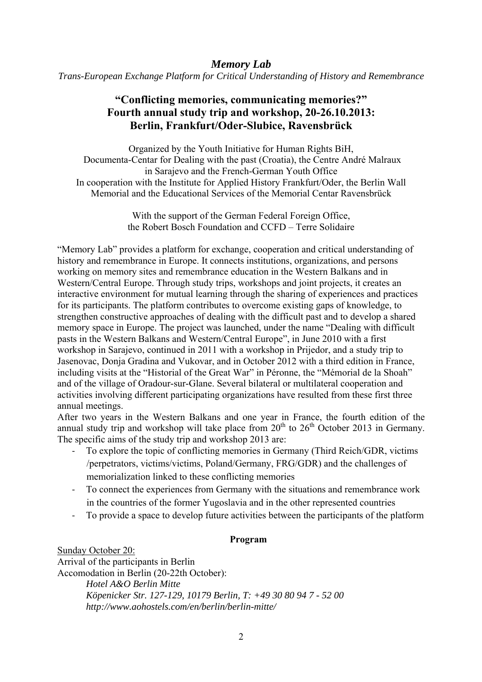*Memory Lab* 

*Trans-European Exchange Platform for Critical Understanding of History and Remembrance* 

### **"Conflicting memories, communicating memories?" Fourth annual study trip and workshop, 20-26.10.2013: Berlin, Frankfurt/Oder-Slubice, Ravensbrück**

Organized by the Youth Initiative for Human Rights BiH, Documenta-Centar for Dealing with the past (Croatia), the Centre André Malraux in Sarajevo and the French-German Youth Office In cooperation with the Institute for Applied History Frankfurt/Oder, the Berlin Wall Memorial and the Educational Services of the Memorial Centar Ravensbrück

> With the support of the German Federal Foreign Office, the Robert Bosch Foundation and CCFD – Terre Solidaire

"Memory Lab" provides a platform for exchange, cooperation and critical understanding of history and remembrance in Europe. It connects institutions, organizations, and persons working on memory sites and remembrance education in the Western Balkans and in Western/Central Europe. Through study trips, workshops and joint projects, it creates an interactive environment for mutual learning through the sharing of experiences and practices for its participants. The platform contributes to overcome existing gaps of knowledge, to strengthen constructive approaches of dealing with the difficult past and to develop a shared memory space in Europe. The project was launched, under the name "Dealing with difficult pasts in the Western Balkans and Western/Central Europe", in June 2010 with a first workshop in Sarajevo, continued in 2011 with a workshop in Prijedor, and a study trip to Jasenovac, Donja Gradina and Vukovar, and in October 2012 with a third edition in France, including visits at the "Historial of the Great War" in Péronne, the "Mémorial de la Shoah" and of the village of Oradour-sur-Glane. Several bilateral or multilateral cooperation and activities involving different participating organizations have resulted from these first three annual meetings.

After two years in the Western Balkans and one year in France, the fourth edition of the annual study trip and workshop will take place from  $20^{th}$  to  $26^{th}$  October 2013 in Germany. The specific aims of the study trip and workshop 2013 are:

- ‐ To explore the topic of conflicting memories in Germany (Third Reich/GDR, victims /perpetrators, victims/victims, Poland/Germany, FRG/GDR) and the challenges of memorialization linked to these conflicting memories
- ‐ To connect the experiences from Germany with the situations and remembrance work in the countries of the former Yugoslavia and in the other represented countries
- ‐ To provide a space to develop future activities between the participants of the platform

#### **Program**

Sunday October 20: Arrival of the participants in Berlin Accomodation in Berlin (20-22th October): *Hotel A&O Berlin Mitte Köpenicker Str. 127-129, 10179 Berlin, T: +49 30 80 94 7 - 52 00 http://www.aohostels.com/en/berlin/berlin-mitte/*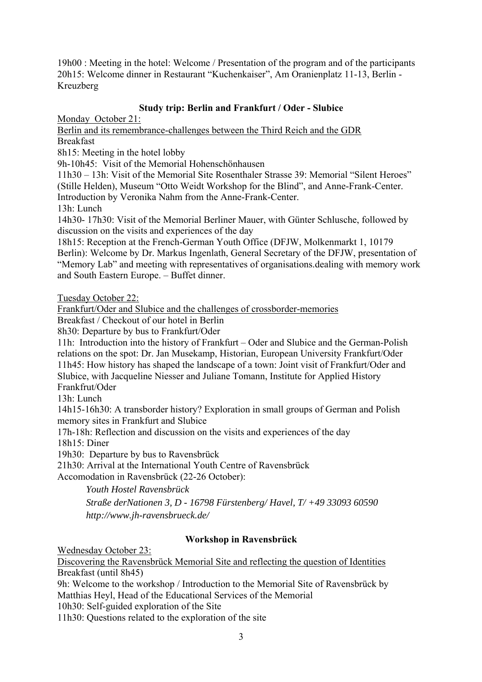19h00 : Meeting in the hotel: Welcome / Presentation of the program and of the participants 20h15: Welcome dinner in Restaurant "Kuchenkaiser", Am Oranienplatz 11-13, Berlin - Kreuzberg

#### **Study trip: Berlin and Frankfurt / Oder - Slubice**

Monday October 21:

Berlin and its remembrance-challenges between the Third Reich and the GDR Breakfast

8h15: Meeting in the hotel lobby

9h-10h45: Visit of the Memorial Hohenschönhausen

11h30 – 13h: Visit of the Memorial Site Rosenthaler Strasse 39: Memorial "Silent Heroes" (Stille Helden), Museum "Otto Weidt Workshop for the Blind", and Anne-Frank-Center. Introduction by Veronika Nahm from the Anne-Frank-Center.

13h: Lunch

14h30- 17h30: Visit of the Memorial Berliner Mauer, with Günter Schlusche, followed by discussion on the visits and experiences of the day

18h15: Reception at the French-German Youth Office (DFJW, Molkenmarkt 1, 10179 Berlin): Welcome by Dr. Markus Ingenlath, General Secretary of the DFJW, presentation of "Memory Lab" and meeting with representatives of organisations.dealing with memory work and South Eastern Europe. – Buffet dinner.

Tuesday October 22:

Frankfurt/Oder and Slubice and the challenges of crossborder-memories

Breakfast / Checkout of our hotel in Berlin

8h30: Departure by bus to Frankfurt/Oder

11h: Introduction into the history of Frankfurt – Oder and Slubice and the German-Polish relations on the spot: Dr. Jan Musekamp, Historian, European University Frankfurt/Oder 11h45: How history has shaped the landscape of a town: Joint visit of Frankfurt/Oder and Slubice, with Jacqueline Niesser and Juliane Tomann, Institute for Applied History Frankfrut/Oder

13h: Lunch

14h15-16h30: A transborder history? Exploration in small groups of German and Polish memory sites in Frankfurt and Slubice

17h-18h: Reflection and discussion on the visits and experiences of the day

18h15: Diner

19h30: Departure by bus to Ravensbrück

21h30: Arrival at the International Youth Centre of Ravensbrück Accomodation in Ravensbrück (22-26 October):

*Youth Hostel Ravensbrück* 

*Straße derNationen 3, D - 16798 Fürstenberg/ Havel, T/ +49 33093 60590 http://www.jh-ravensbrueck.de/* 

#### **Workshop in Ravensbrück**

Wednesday October 23:

Discovering the Ravensbrück Memorial Site and reflecting the question of Identities Breakfast (until 8h45)

9h: Welcome to the workshop / Introduction to the Memorial Site of Ravensbrück by Matthias Heyl, Head of the Educational Services of the Memorial

10h30: Self-guided exploration of the Site

11h30: Questions related to the exploration of the site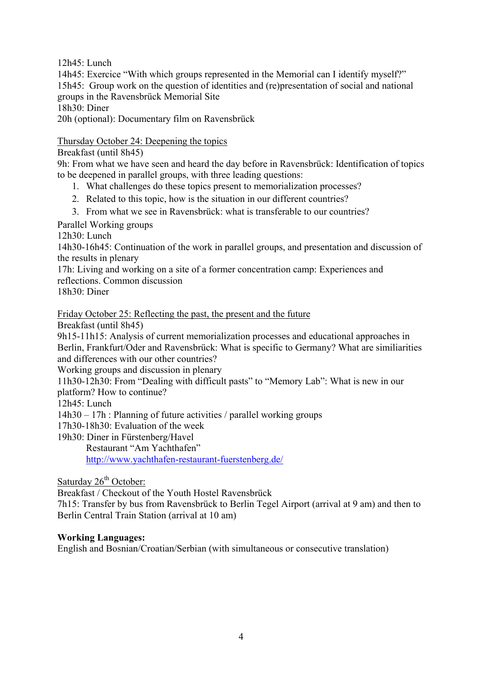12h45: Lunch

14h45: Exercice "With which groups represented in the Memorial can I identify myself?" 15h45: Group work on the question of identities and (re)presentation of social and national groups in the Ravensbrück Memorial Site

18h30: Diner

20h (optional): Documentary film on Ravensbrück

Thursday October 24: Deepening the topics

Breakfast (until 8h45)

9h: From what we have seen and heard the day before in Ravensbrück: Identification of topics to be deepened in parallel groups, with three leading questions:

- 1. What challenges do these topics present to memorialization processes?
- 2. Related to this topic, how is the situation in our different countries?
- 3. From what we see in Ravensbrück: what is transferable to our countries?

Parallel Working groups

12h30: Lunch

14h30-16h45: Continuation of the work in parallel groups, and presentation and discussion of the results in plenary

17h: Living and working on a site of a former concentration camp: Experiences and reflections. Common discussion

18h30: Diner

Friday October 25: Reflecting the past, the present and the future

Breakfast (until 8h45)

9h15-11h15: Analysis of current memorialization processes and educational approaches in Berlin, Frankfurt/Oder and Ravensbrück: What is specific to Germany? What are similiarities and differences with our other countries?

Working groups and discussion in plenary

11h30-12h30: From "Dealing with difficult pasts" to "Memory Lab": What is new in our

platform? How to continue?

12h45: Lunch

14h30 – 17h : Planning of future activities / parallel working groups

17h30-18h30: Evaluation of the week

19h30: Diner in Fürstenberg/Havel

Restaurant "Am Yachthafen"

http://www.yachthafen-restaurant-fuerstenberg.de/

Saturday  $26<sup>th</sup>$  October:

Breakfast / Checkout of the Youth Hostel Ravensbrück 7h15: Transfer by bus from Ravensbrück to Berlin Tegel Airport (arrival at 9 am) and then to Berlin Central Train Station (arrival at 10 am)

#### **Working Languages:**

English and Bosnian/Croatian/Serbian (with simultaneous or consecutive translation)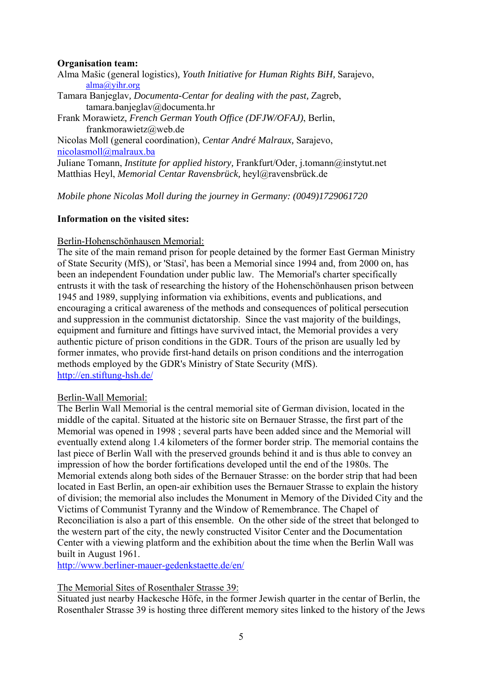#### **Organisation team:**

Alma Mašic (general logistics)*, Youth Initiative for Human Rights BiH,* Sarajevo, alma@yihr.org

Tamara Banjeglav*, Documenta-Centar for dealing with the past,* Zagreb, tamara.banjeglav@documenta.hr

Frank Morawietz*, French German Youth Office (DFJW/OFAJ)*, Berlin, frankmorawietz@web.de

Nicolas Moll (general coordination), *Centar André Malraux,* Sarajevo, nicolasmoll@malraux.ba

Juliane Tomann, *Institute for applied history*, Frankfurt/Oder, *j.tomann@instytut.net* Matthias Heyl, *Memorial Centar Ravensbrück,* heyl@ravensbrück.de

*Mobile phone Nicolas Moll during the journey in Germany: (0049)1729061720* 

#### **Information on the visited sites:**

#### Berlin-Hohenschönhausen Memorial:

The site of the main remand prison for people detained by the former East German Ministry of State Security (MfS), or 'Stasi', has been a Memorial since 1994 and, from 2000 on, has been an independent Foundation under public law. The Memorial's charter specifically entrusts it with the task of researching the history of the Hohenschönhausen prison between 1945 and 1989, supplying information via exhibitions, events and publications, and encouraging a critical awareness of the methods and consequences of political persecution and suppression in the communist dictatorship. Since the vast majority of the buildings, equipment and furniture and fittings have survived intact, the Memorial provides a very authentic picture of prison conditions in the GDR. Tours of the prison are usually led by former inmates, who provide first-hand details on prison conditions and the interrogation methods employed by the GDR's Ministry of State Security (MfS). http://en.stiftung-hsh.de/

#### Berlin-Wall Memorial:

The Berlin Wall Memorial is the central memorial site of German division, located in the middle of the capital. Situated at the historic site on Bernauer Strasse, the first part of the Memorial was opened in 1998 ; several parts have been added since and the Memorial will eventually extend along 1.4 kilometers of the former border strip. The memorial contains the last piece of Berlin Wall with the preserved grounds behind it and is thus able to convey an impression of how the border fortifications developed until the end of the 1980s. The Memorial extends along both sides of the Bernauer Strasse: on the border strip that had been located in East Berlin, an open-air exhibition uses the Bernauer Strasse to explain the history of division; the memorial also includes the Monument in Memory of the Divided City and the Victims of Communist Tyranny and the Window of Remembrance. The Chapel of Reconciliation is also a part of this ensemble. On the other side of the street that belonged to the western part of the city, the newly constructed Visitor Center and the Documentation Center with a viewing platform and the exhibition about the time when the Berlin Wall was built in August 1961.

http://www.berliner-mauer-gedenkstaette.de/en/

#### The Memorial Sites of Rosenthaler Strasse 39:

Situated just nearby Hackesche Höfe, in the former Jewish quarter in the centar of Berlin, the Rosenthaler Strasse 39 is hosting three different memory sites linked to the history of the Jews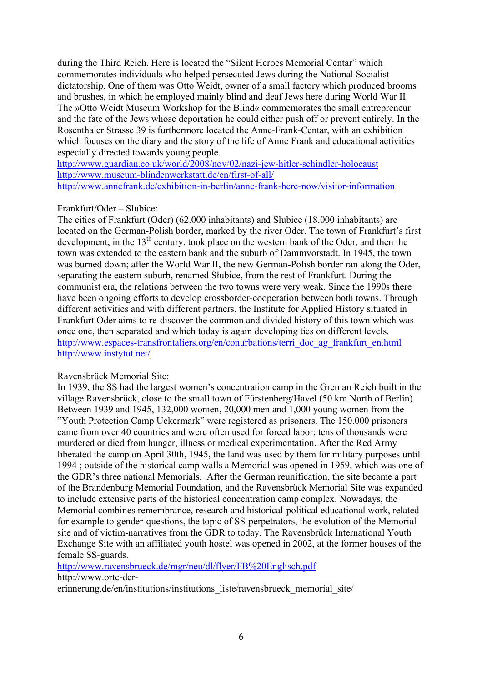during the Third Reich. Here is located the "Silent Heroes Memorial Centar" which commemorates individuals who helped persecuted Jews during the National Socialist dictatorship. One of them was Otto Weidt, owner of a small factory which produced brooms and brushes, in which he employed mainly blind and deaf Jews here during World War II. The »Otto Weidt Museum Workshop for the Blind« commemorates the small entrepreneur and the fate of the Jews whose deportation he could either push off or prevent entirely. In the Rosenthaler Strasse 39 is furthermore located the Anne-Frank-Centar, with an exhibition which focuses on the diary and the story of the life of Anne Frank and educational activities especially directed towards young people.

http://www.guardian.co.uk/world/2008/nov/02/nazi-jew-hitler-schindler-holocaust http://www.museum-blindenwerkstatt.de/en/first-of-all/ http://www.annefrank.de/exhibition-in-berlin/anne-frank-here-now/visitor-information

#### Frankfurt/Oder – Slubice:

The cities of Frankfurt (Oder) (62.000 inhabitants) and Słubice (18.000 inhabitants) are located on the German-Polish border, marked by the river Oder. The town of Frankfurt's first development, in the  $13<sup>th</sup>$  century, took place on the western bank of the Oder, and then the town was extended to the eastern bank and the suburb of Dammvorstadt. In 1945, the town was burned down; after the World War II, the new German-Polish border ran along the Oder, separating the eastern suburb, renamed Słubice, from the rest of Frankfurt. During the communist era, the relations between the two towns were very weak. Since the 1990s there have been ongoing efforts to develop crossborder-cooperation between both towns. Through different activities and with different partners, the Institute for Applied History situated in Frankfurt Oder aims to re-discover the common and divided history of this town which was once one, then separated and which today is again developing ties on different levels. http://www.espaces-transfrontaliers.org/en/conurbations/terri\_doc\_ag\_frankfurt\_en.html http://www.instytut.net/

#### Ravensbrück Memorial Site:

In 1939, the SS had the largest women's concentration camp in the Greman Reich built in the village Ravensbrück, close to the small town of Fürstenberg/Havel (50 km North of Berlin). Between 1939 and 1945, 132,000 women, 20,000 men and 1,000 young women from the "Youth Protection Camp Uckermark" were registered as prisoners. The 150.000 prisoners came from over 40 countries and were often used for forced labor; tens of thousands were murdered or died from hunger, illness or medical experimentation. After the Red Army liberated the camp on April 30th, 1945, the land was used by them for military purposes until 1994 ; outside of the historical camp walls a Memorial was opened in 1959, which was one of the GDR's three national Memorials. After the German reunification, the site became a part of the Brandenburg Memorial Foundation, and the Ravensbrück Memorial Site was expanded to include extensive parts of the historical concentration camp complex. Nowadays, the Memorial combines remembrance, research and historical-political educational work, related for example to gender-questions, the topic of SS-perpetrators, the evolution of the Memorial site and of victim-narratives from the GDR to today. The Ravensbrück International Youth Exchange Site with an affiliated youth hostel was opened in 2002, at the former houses of the female SS-guards.

http://www.ravensbrueck.de/mgr/neu/dl/flyer/FB%20Englisch.pdf

http://www.orte-der-

erinnerung.de/en/institutions/institutions\_liste/ravensbrueck\_memorial\_site/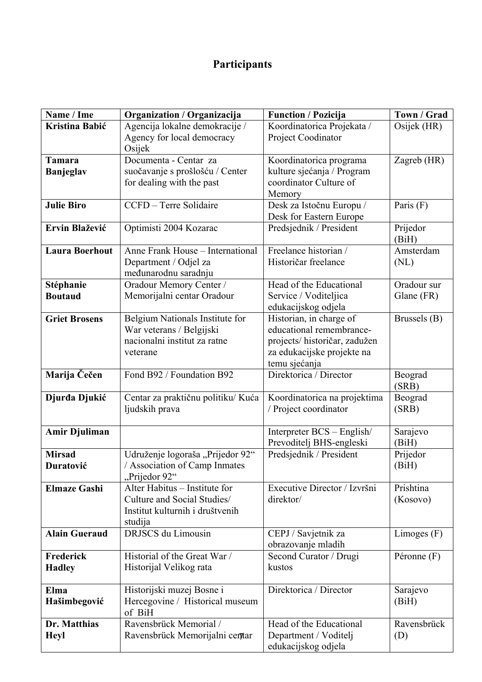## **Participants**

| Name / Ime            | Organization / Organizacija                    | <b>Function / Pozicija</b>                          | Town / Grad       |
|-----------------------|------------------------------------------------|-----------------------------------------------------|-------------------|
| Kristina Babić        | Agencija lokalne demokracije /                 | Koordinatorica Projekata /                          | Osijek (HR)       |
|                       | Agency for local democracy<br>Osijek           | Project Coodinator                                  |                   |
| Tamara                | Documenta - Centar za                          | Koordinatorica programa                             | Zagreb (HR)       |
| Banjeglav             | suočavanje s prošlošću / Center                | kulture sjećanja / Program                          |                   |
|                       | for dealing with the past                      | coordinator Culture of                              |                   |
|                       |                                                | Memory                                              |                   |
| <b>Julie Biro</b>     | CCFD - Terre Solidaire                         | Desk za Istočnu Europu /<br>Desk for Eastern Europe | Paris $(F)$       |
| Ervin Blažević        | Optimisti 2004 Kozarac                         | Predsjednik / President                             | Prijedor<br>(BiH) |
| <b>Laura Boerhout</b> | Anne Frank House - International               | Freelance historian /                               | Amsterdam         |
|                       | Department / Odjel za                          | Historičar freelance                                | (NL)              |
|                       | međunarodnu saradnju                           |                                                     |                   |
| Stéphanie             | Oradour Memory Center /                        | Head of the Educational                             | Oradour sur       |
| <b>Boutaud</b>        | Memorijalni centar Oradour                     | Service / Voditeljica                               | Glane (FR)        |
|                       |                                                | edukacijskog odjela                                 |                   |
| <b>Griet Brosens</b>  | Belgium Nationals Institute for                | Historian, in charge of                             | Brussels (B)      |
|                       | War veterans / Belgijski                       | educational remembrance-                            |                   |
|                       | nacionalni institut za ratne                   | projects/ historičar, zadužen                       |                   |
|                       | veterane                                       | za edukacijske projekte na<br>temu sjećanja         |                   |
| Marija Čečen          | Fond B92 / Foundation B92                      | Direktorica / Director                              | Beograd           |
|                       |                                                |                                                     | (SRB)             |
| Djurđa Djukić         | Centar za praktičnu politiku/Kuća              | Koordinatorica na projektima                        | Beograd           |
|                       | ljudskih prava                                 | / Project coordinator                               | (SRB)             |
| <b>Amir Djuliman</b>  |                                                | Interpreter BCS - English/                          | Sarajevo          |
|                       |                                                | Prevoditelj BHS-engleski                            | (BiH)             |
| <b>Mirsad</b>         | Udruženje logoraša "Prijedor 92"               | Predsjednik / President                             | Prijedor          |
| Duratović             | / Association of Camp Inmates<br>"Prijedor 92" |                                                     | (BiH)             |
| <b>Elmaze Gashi</b>   | Alter Habitus - Institute for                  | Executive Director / Izvršni                        | Prishtina         |
|                       | Culture and Social Studies/                    | direktor/                                           | (Kosovo)          |
|                       | Institut kulturnih i društvenih                |                                                     |                   |
| <b>Alain Gueraud</b>  | studija<br><b>DRJSCS</b> du Limousin           | CEPJ / Savjetnik za                                 | Limoges $(F)$     |
|                       |                                                | obrazovanje mladih                                  |                   |
| Frederick             | Historial of the Great War /                   | Second Curator / Drugi                              | Péronne (F)       |
| <b>Hadley</b>         | Historijal Velikog rata                        | kustos                                              |                   |
|                       |                                                |                                                     |                   |
| Elma                  | Historijski muzej Bosne i                      | Direktorica / Director                              | Sarajevo          |
| Hašimbegović          | Hercegovine / Historical museum<br>of BiH      |                                                     | (BiH)             |
| Dr. Matthias          | Ravensbrück Memorial /                         | Head of the Educational                             | Ravensbrück       |
| <b>Heyl</b>           | Ravensbrück Memorijalni certar                 | Department / Voditelj                               | (D)               |
|                       |                                                | edukacijskog odjela                                 |                   |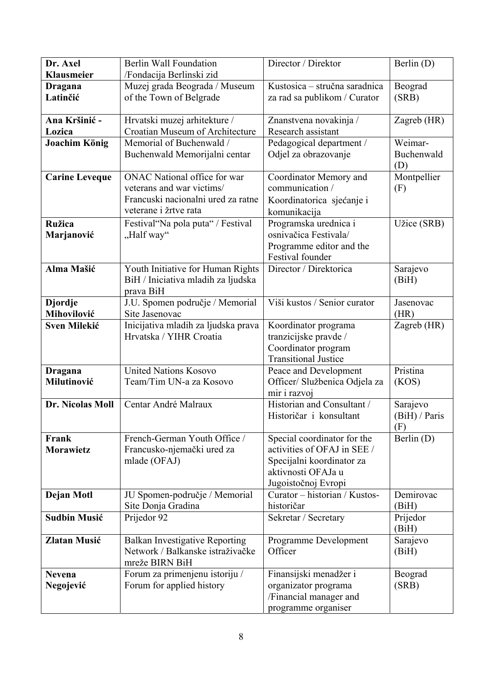| Dr. Axel              | <b>Berlin Wall Foundation</b>                    | Director / Direktor                                   | Berlin (D)         |
|-----------------------|--------------------------------------------------|-------------------------------------------------------|--------------------|
| Klausmeier            | /Fondacija Berlinski zid                         |                                                       |                    |
| Dragana               | Muzej grada Beograda / Museum                    | Kustosica - stručna saradnica                         | Beograd            |
| Latinčić              | of the Town of Belgrade                          | za rad sa publikom / Curator                          | (SRB)              |
|                       |                                                  |                                                       |                    |
| Ana Kršinić -         | Hrvatski muzej arhitekture /                     | Znanstvena novakinja /                                | Zagreb (HR)        |
| Lozica                | Croatian Museum of Architecture                  | Research assistant                                    |                    |
| Joachim König         | Memorial of Buchenwald /                         | Pedagogical department /                              | Weimar-            |
|                       | Buchenwald Memorijalni centar                    | Odjel za obrazovanje                                  | Buchenwald         |
|                       |                                                  |                                                       | (D)                |
| <b>Carine Leveque</b> | <b>ONAC National office for war</b>              | Coordinator Memory and                                | Montpellier        |
|                       | veterans and war victims/                        | communication /                                       | (F)                |
|                       | Francuski nacionalni ured za ratne               | Koordinatorica sjećanje i                             |                    |
|                       | veterane i žrtve rata                            | komunikacija                                          |                    |
| <b>Ružica</b>         | Festival 'Na pola puta" / Festival               | Programska urednica i                                 | Užice (SRB)        |
| Marjanović            | "Half way"                                       | osnivačica Festivala/                                 |                    |
|                       |                                                  | Programme editor and the<br>Festival founder          |                    |
| Alma Mašić            | Youth Initiative for Human Rights                | Director / Direktorica                                | Sarajevo           |
|                       | BiH / Iniciativa mladih za ljudska               |                                                       | (BiH)              |
|                       | prava BiH                                        |                                                       |                    |
| <b>Djordje</b>        | J.U. Spomen područje / Memorial                  | Viši kustos / Senior curator                          | Jasenovac          |
| Mihovilović           | Site Jasenovac                                   |                                                       | (HR)               |
| <b>Sven Milekić</b>   | Inicijativa mladih za ljudska prava              | Koordinator programa                                  | Zagreb (HR)        |
|                       | Hrvatska / YIHR Croatia                          | tranzicijske pravde /                                 |                    |
|                       |                                                  | Coordinator program                                   |                    |
|                       |                                                  | <b>Transitional Justice</b>                           |                    |
| Dragana               | <b>United Nations Kosovo</b>                     | Peace and Development                                 | Pristina           |
| Milutinović           | Team/Tim UN-a za Kosovo                          | Officer/ Službenica Odjela za                         | (KOS)              |
|                       |                                                  | mir i razvoj                                          |                    |
| Dr. Nicolas Moll      | Centar André Malraux                             | Historian and Consultant /<br>Historičar i konsultant | Sarajevo           |
|                       |                                                  |                                                       | (BiH)/Paris<br>(F) |
| Frank                 | French-German Youth Office /                     | Special coordinator for the                           | Berlin (D)         |
| <b>Morawietz</b>      | Francusko-njemački ured za                       | activities of OFAJ in SEE /                           |                    |
|                       | mlade (OFAJ)                                     | Specijalni koordinator za                             |                    |
|                       |                                                  | aktivnosti OFAJa u                                    |                    |
|                       |                                                  | Jugoistočnoj Evropi                                   |                    |
| Dejan Motl            | JU Spomen-područje / Memorial                    | Curator - historian / Kustos-                         | Demirovac          |
|                       | Site Donja Gradina                               | historičar                                            | (BiH)              |
| <b>Sudbin Musić</b>   | Prijedor <sub>92</sub>                           | Sekretar / Secretary                                  | Prijedor           |
|                       |                                                  |                                                       | (BiH)              |
| <b>Zlatan Musić</b>   | <b>Balkan Investigative Reporting</b>            | Programme Development                                 | Sarajevo           |
|                       | Network / Balkanske istraživačke                 | Officer                                               | (BiH)              |
| <b>Nevena</b>         | mreže BIRN BiH<br>Forum za primenjenu istoriju / | Finansijski menadžer i                                |                    |
| Negojević             | Forum for applied history                        | organizator programa                                  | Beograd<br>(SRB)   |
|                       |                                                  | /Financial manager and                                |                    |
|                       |                                                  | programme organiser                                   |                    |